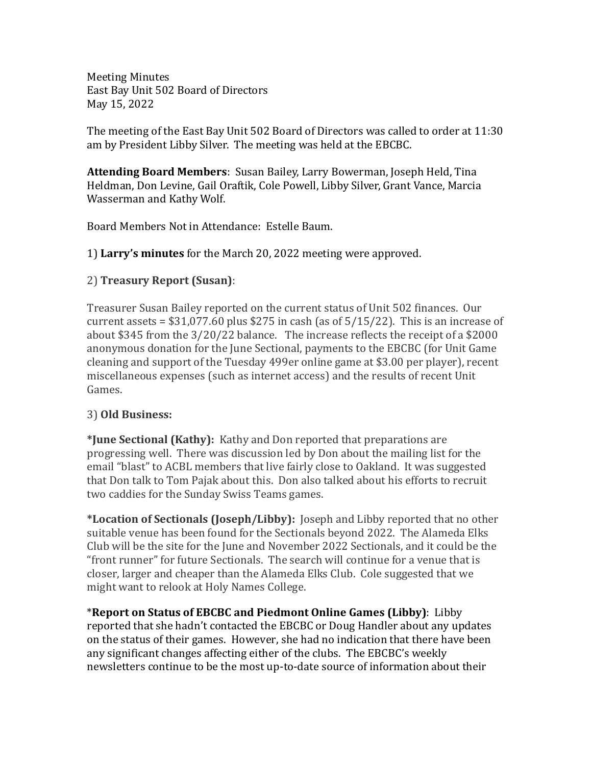Meeting Minutes East Bay Unit 502 Board of Directors May 15, 2022

The meeting of the East Bay Unit 502 Board of Directors was called to order at 11:30 am by President Libby Silver. The meeting was held at the EBCBC.

**Attending Board Members**: Susan Bailey, Larry Bowerman, Joseph Held, Tina Heldman, Don Levine, Gail Oraftik, Cole Powell, Libby Silver, Grant Vance, Marcia Wasserman and Kathy Wolf.

Board Members Not in Attendance: Estelle Baum.

## 1) **Larry's minutes** for the March 20, 2022 meeting were approved.

## 2) **Treasury Report (Susan)**:

Treasurer Susan Bailey reported on the current status of Unit 502 finances. Our current assets =  $$31,077.60$  plus  $$275$  in cash (as of  $5/15/22$ ). This is an increase of about \$345 from the 3/20/22 balance. The increase reflects the receipt of a \$2000 anonymous donation for the June Sectional, payments to the EBCBC (for Unit Game cleaning and support of the Tuesday 499er online game at \$3.00 per player), recent miscellaneous expenses (such as internet access) and the results of recent Unit Games.

## 3) **Old Business:**

**\*June Sectional (Kathy):** Kathy and Don reported that preparations are progressing well. There was discussion led by Don about the mailing list for the email "blast" to ACBL members that live fairly close to Oakland. It was suggested that Don talk to Tom Pajak about this. Don also talked about his efforts to recruit two caddies for the Sunday Swiss Teams games.

**\*Location of Sectionals (Joseph/Libby):** Joseph and Libby reported that no other suitable venue has been found for the Sectionals beyond 2022. The Alameda Elks Club will be the site for the June and November 2022 Sectionals, and it could be the "front runner" for future Sectionals. The search will continue for a venue that is closer, larger and cheaper than the Alameda Elks Club. Cole suggested that we might want to relook at Holy Names College.

\***Report on Status of EBCBC and Piedmont Online Games (Libby)**: Libby reported that she hadn't contacted the EBCBC or Doug Handler about any updates on the status of their games. However, she had no indication that there have been any significant changes affecting either of the clubs. The EBCBC's weekly newsletters continue to be the most up-to-date source of information about their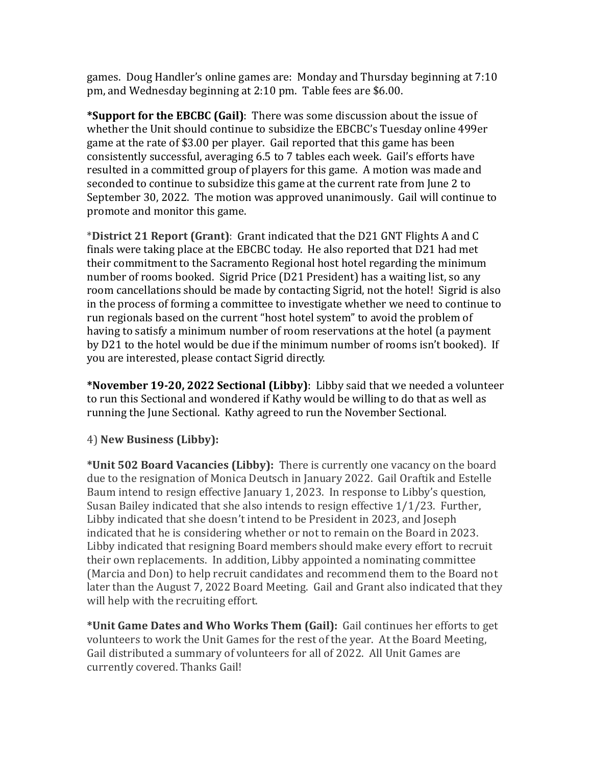games. Doug Handler's online games are: Monday and Thursday beginning at 7:10 pm, and Wednesday beginning at 2:10 pm. Table fees are \$6.00.

**\*Support for the EBCBC (Gail)**: There was some discussion about the issue of whether the Unit should continue to subsidize the EBCBC's Tuesday online 499er game at the rate of \$3.00 per player. Gail reported that this game has been consistently successful, averaging 6.5 to 7 tables each week. Gail's efforts have resulted in a committed group of players for this game. A motion was made and seconded to continue to subsidize this game at the current rate from June 2 to September 30, 2022. The motion was approved unanimously. Gail will continue to promote and monitor this game.

\***District 21 Report (Grant)**: Grant indicated that the D21 GNT Flights A and C finals were taking place at the EBCBC today. He also reported that D21 had met their commitment to the Sacramento Regional host hotel regarding the minimum number of rooms booked. Sigrid Price (D21 President) has a waiting list, so any room cancellations should be made by contacting Sigrid, not the hotel! Sigrid is also in the process of forming a committee to investigate whether we need to continue to run regionals based on the current "host hotel system" to avoid the problem of having to satisfy a minimum number of room reservations at the hotel (a payment by D21 to the hotel would be due if the minimum number of rooms isn't booked). If you are interested, please contact Sigrid directly.

**\*November 19-20, 2022 Sectional (Libby)**: Libby said that we needed a volunteer to run this Sectional and wondered if Kathy would be willing to do that as well as running the June Sectional. Kathy agreed to run the November Sectional.

4) **New Business (Libby):**

**\*Unit 502 Board Vacancies (Libby):** There is currently one vacancy on the board due to the resignation of Monica Deutsch in January 2022. Gail Oraftik and Estelle Baum intend to resign effective January 1, 2023. In response to Libby's question, Susan Bailey indicated that she also intends to resign effective 1/1/23. Further, Libby indicated that she doesn't intend to be President in 2023, and Joseph indicated that he is considering whether or not to remain on the Board in 2023. Libby indicated that resigning Board members should make every effort to recruit their own replacements. In addition, Libby appointed a nominating committee (Marcia and Don) to help recruit candidates and recommend them to the Board not later than the August 7, 2022 Board Meeting. Gail and Grant also indicated that they will help with the recruiting effort.

**\*Unit Game Dates and Who Works Them (Gail):** Gail continues her efforts to get volunteers to work the Unit Games for the rest of the year. At the Board Meeting, Gail distributed a summary of volunteers for all of 2022. All Unit Games are currently covered. Thanks Gail!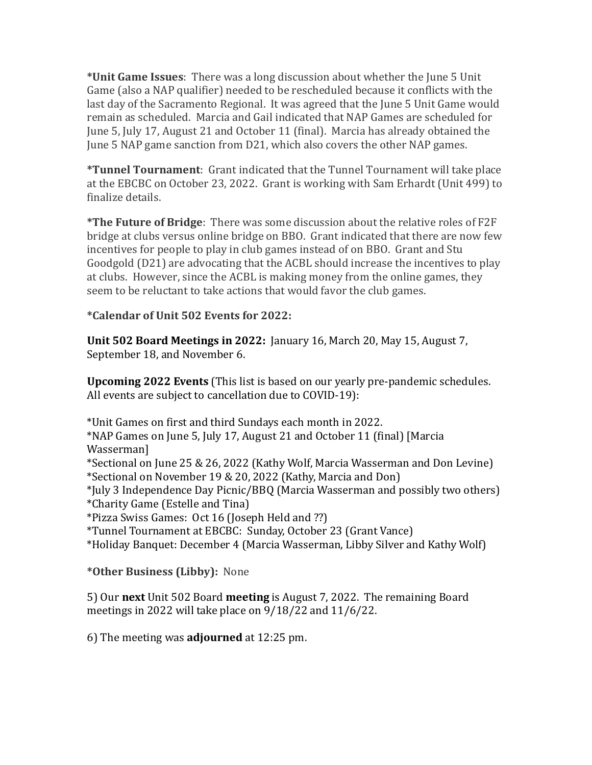**\*Unit Game Issues**: There was a long discussion about whether the June 5 Unit Game (also a NAP qualifier) needed to be rescheduled because it conflicts with the last day of the Sacramento Regional. It was agreed that the June 5 Unit Game would remain as scheduled. Marcia and Gail indicated that NAP Games are scheduled for June 5, July 17, August 21 and October 11 (final). Marcia has already obtained the June 5 NAP game sanction from D21, which also covers the other NAP games.

**\*Tunnel Tournament**: Grant indicated that the Tunnel Tournament will take place at the EBCBC on October 23, 2022. Grant is working with Sam Erhardt (Unit 499) to finalize details.

**\*The Future of Bridge**: There was some discussion about the relative roles of F2F bridge at clubs versus online bridge on BBO. Grant indicated that there are now few incentives for people to play in club games instead of on BBO. Grant and Stu Goodgold (D21) are advocating that the ACBL should increase the incentives to play at clubs. However, since the ACBL is making money from the online games, they seem to be reluctant to take actions that would favor the club games.

**\*Calendar of Unit 502 Events for 2022:**

**Unit 502 Board Meetings in 2022:** January 16, March 20, May 15, August 7, September 18, and November 6.

**Upcoming 2022 Events** (This list is based on our yearly pre-pandemic schedules. All events are subject to cancellation due to COVID-19):

\*Unit Games on first and third Sundays each month in 2022. \*NAP Games on June 5, July 17, August 21 and October 11 (final) [Marcia Wasserman] \*Sectional on June 25 & 26, 2022 (Kathy Wolf, Marcia Wasserman and Don Levine) \*Sectional on November 19 & 20, 2022 (Kathy, Marcia and Don) \*July 3 Independence Day Picnic/BBQ (Marcia Wasserman and possibly two others) \*Charity Game (Estelle and Tina) \*Pizza Swiss Games: Oct 16 (Joseph Held and ??) \*Tunnel Tournament at EBCBC: Sunday, October 23 (Grant Vance) \*Holiday Banquet: December 4 (Marcia Wasserman, Libby Silver and Kathy Wolf)

**\*Other Business (Libby):** None

5) Our **next** Unit 502 Board **meeting** is August 7, 2022. The remaining Board meetings in 2022 will take place on 9/18/22 and 11/6/22.

6) The meeting was **adjourned** at 12:25 pm.